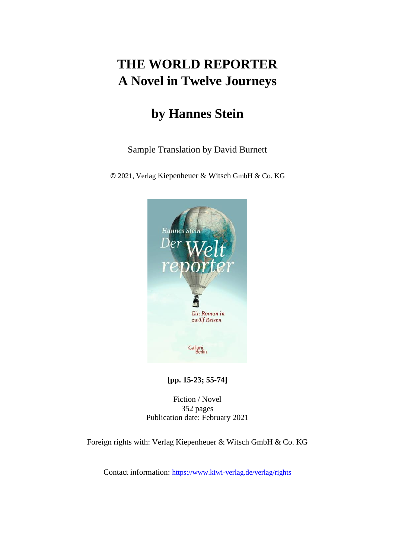# **THE WORLD REPORTER A Novel in Twelve Journeys**

# **by Hannes Stein**

Sample Translation by David Burnett

© 2021, Verlag Kiepenheuer & Witsch GmbH & Co. KG



**[pp. 15-23; 55-74]**

Fiction / Novel 352 pages Publication date: February 2021

Foreign rights with: Verlag Kiepenheuer & Witsch GmbH & Co. KG

Contact information: <https://www.kiwi-verlag.de/verlag/rights>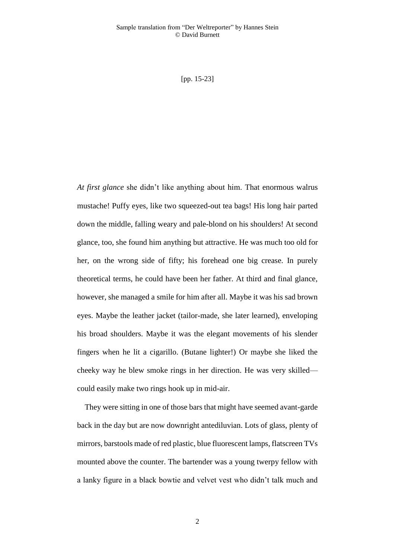[pp. 15-23]

*At first glance* she didn't like anything about him. That enormous walrus mustache! Puffy eyes, like two squeezed-out tea bags! His long hair parted down the middle, falling weary and pale-blond on his shoulders! At second glance, too, she found him anything but attractive. He was much too old for her, on the wrong side of fifty; his forehead one big crease. In purely theoretical terms, he could have been her father. At third and final glance, however, she managed a smile for him after all. Maybe it was his sad brown eyes. Maybe the leather jacket (tailor-made, she later learned), enveloping his broad shoulders. Maybe it was the elegant movements of his slender fingers when he lit a cigarillo. (Butane lighter!) Or maybe she liked the cheeky way he blew smoke rings in her direction. He was very skilled could easily make two rings hook up in mid-air.

They were sitting in one of those bars that might have seemed avant-garde back in the day but are now downright antediluvian. Lots of glass, plenty of mirrors, barstools made of red plastic, blue fluorescent lamps, flatscreen TVs mounted above the counter. The bartender was a young twerpy fellow with a lanky figure in a black bowtie and velvet vest who didn't talk much and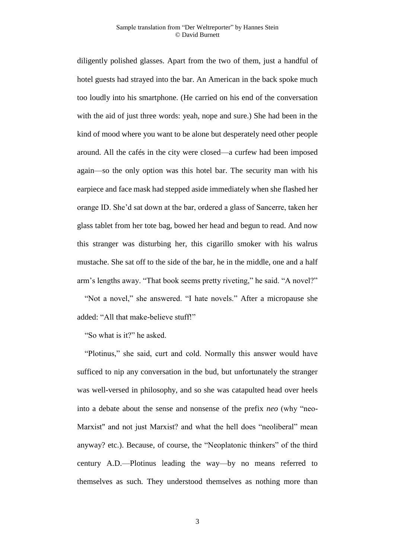diligently polished glasses. Apart from the two of them, just a handful of hotel guests had strayed into the bar. An American in the back spoke much too loudly into his smartphone. (He carried on his end of the conversation with the aid of just three words: yeah, nope and sure.) She had been in the kind of mood where you want to be alone but desperately need other people around. All the cafés in the city were closed—a curfew had been imposed again—so the only option was this hotel bar. The security man with his earpiece and face mask had stepped aside immediately when she flashed her orange ID. She'd sat down at the bar, ordered a glass of Sancerre, taken her glass tablet from her tote bag, bowed her head and begun to read. And now this stranger was disturbing her, this cigarillo smoker with his walrus mustache. She sat off to the side of the bar, he in the middle, one and a half arm's lengths away. "That book seems pretty riveting," he said. "A novel?"

"Not a novel," she answered. "I hate novels." After a micropause she added: "All that make-believe stuff!"

"So what is it?" he asked.

"Plotinus," she said, curt and cold. Normally this answer would have sufficed to nip any conversation in the bud, but unfortunately the stranger was well-versed in philosophy, and so she was catapulted head over heels into a debate about the sense and nonsense of the prefix *neo* (why "neo-Marxist" and not just Marxist? and what the hell does "neoliberal" mean anyway? etc.). Because, of course, the "Neoplatonic thinkers" of the third century A.D.—Plotinus leading the way—by no means referred to themselves as such. They understood themselves as nothing more than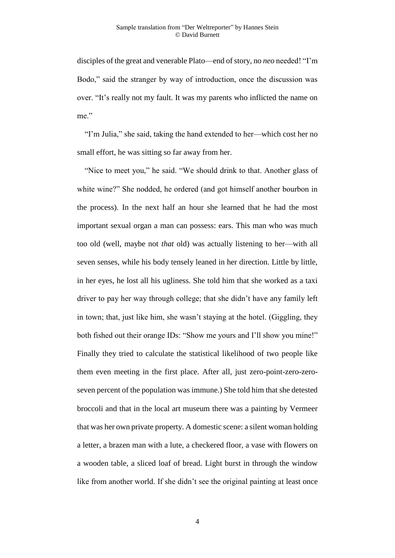disciples of the great and venerable Plato—end of story, no *neo* needed! "I'm Bodo," said the stranger by way of introduction, once the discussion was over. "It's really not my fault. It was my parents who inflicted the name on me."

"I'm Julia," she said, taking the hand extended to her—which cost her no small effort, he was sitting so far away from her.

"Nice to meet you," he said. "We should drink to that. Another glass of white wine?" She nodded, he ordered (and got himself another bourbon in the process). In the next half an hour she learned that he had the most important sexual organ a man can possess: ears. This man who was much too old (well, maybe not *that* old) was actually listening to her—with all seven senses, while his body tensely leaned in her direction. Little by little, in her eyes, he lost all his ugliness. She told him that she worked as a taxi driver to pay her way through college; that she didn't have any family left in town; that, just like him, she wasn't staying at the hotel. (Giggling, they both fished out their orange IDs: "Show me yours and I'll show you mine!" Finally they tried to calculate the statistical likelihood of two people like them even meeting in the first place. After all, just zero-point-zero-zeroseven percent of the population was immune.) She told him that she detested broccoli and that in the local art museum there was a painting by Vermeer that was her own private property. A domestic scene: a silent woman holding a letter, a brazen man with a lute, a checkered floor, a vase with flowers on a wooden table, a sliced loaf of bread. Light burst in through the window like from another world. If she didn't see the original painting at least once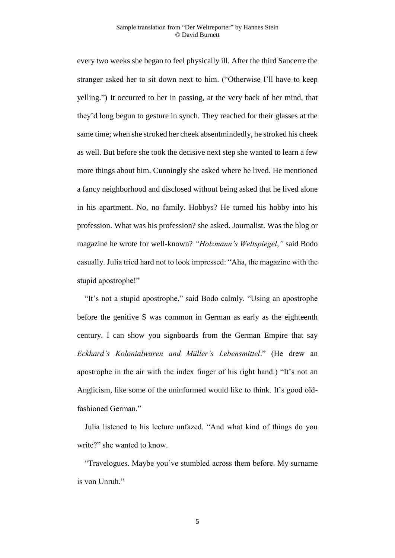every two weeks she began to feel physically ill. After the third Sancerre the stranger asked her to sit down next to him. ("Otherwise I'll have to keep yelling.") It occurred to her in passing, at the very back of her mind, that they'd long begun to gesture in synch. They reached for their glasses at the same time; when she stroked her cheek absentmindedly, he stroked his cheek as well. But before she took the decisive next step she wanted to learn a few more things about him. Cunningly she asked where he lived. He mentioned a fancy neighborhood and disclosed without being asked that he lived alone in his apartment. No, no family. Hobbys? He turned his hobby into his profession. What was his profession? she asked. Journalist. Was the blog or magazine he wrote for well-known? *"Holzmann's Weltspiegel*,*"* said Bodo casually. Julia tried hard not to look impressed: "Aha, the magazine with the stupid apostrophe!"

"It's not a stupid apostrophe," said Bodo calmly. "Using an apostrophe before the genitive S was common in German as early as the eighteenth century. I can show you signboards from the German Empire that say *Eckhard's Kolonialwaren and Müller's Lebensmittel*." (He drew an apostrophe in the air with the index finger of his right hand.) "It's not an Anglicism, like some of the uninformed would like to think. It's good oldfashioned German."

Julia listened to his lecture unfazed. "And what kind of things do you write?" she wanted to know.

"Travelogues. Maybe you've stumbled across them before. My surname is von Unruh."

5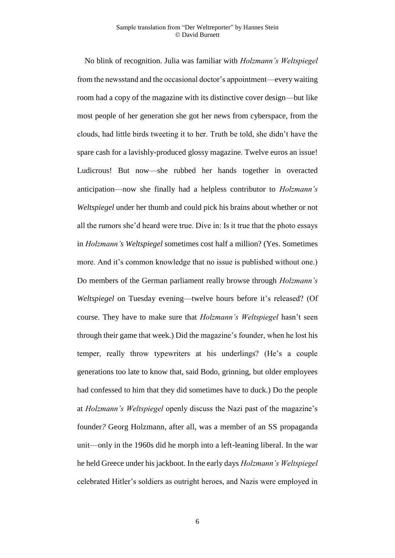No blink of recognition. Julia was familiar with *Holzmann's Weltspiegel* from the newsstand and the occasional doctor's appointment—every waiting room had a copy of the magazine with its distinctive cover design—but like most people of her generation she got her news from cyberspace, from the clouds, had little birds tweeting it to her. Truth be told, she didn't have the spare cash for a lavishly-produced glossy magazine. Twelve euros an issue! Ludicrous! But now—she rubbed her hands together in overacted anticipation—now she finally had a helpless contributor to *Holzmann's Weltspiegel* under her thumb and could pick his brains about whether or not all the rumors she'd heard were true. Dive in: Is it true that the photo essays in *Holzmann's Weltspiegel* sometimes cost half a million? (Yes. Sometimes more. And it's common knowledge that no issue is published without one.) Do members of the German parliament really browse through *Holzmann's Weltspiegel* on Tuesday evening—twelve hours before it's released? (Of course. They have to make sure that *Holzmann's Weltspiegel* hasn't seen through their game that week.) Did the magazine's founder, when he lost his temper, really throw typewriters at his underlings? (He's a couple generations too late to know that, said Bodo, grinning, but older employees had confessed to him that they did sometimes have to duck.) Do the people at *Holzmann's Weltspiegel* openly discuss the Nazi past of the magazine's founder*?* Georg Holzmann, after all, was a member of an SS propaganda unit—only in the 1960s did he morph into a left-leaning liberal. In the war he held Greece under his jackboot. In the early days *Holzmann's Weltspiegel* celebrated Hitler's soldiers as outright heroes, and Nazis were employed in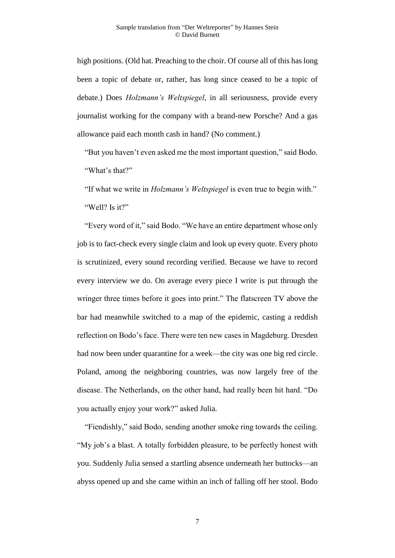high positions. (Old hat. Preaching to the choir. Of course all of this has long been a topic of debate or, rather, has long since ceased to be a topic of debate.) Does *Holzmann's Weltspiegel*, in all seriousness, provide every journalist working for the company with a brand-new Porsche? And a gas allowance paid each month cash in hand? (No comment.)

"But you haven't even asked me the most important question," said Bodo. "What's that?"

"If what we write in *Holzmann's Weltspiegel* is even true to begin with." "Well? Is it?"

"Every word of it," said Bodo. "We have an entire department whose only job is to fact-check every single claim and look up every quote. Every photo is scrutinized, every sound recording verified. Because we have to record every interview we do. On average every piece I write is put through the wringer three times before it goes into print." The flatscreen TV above the bar had meanwhile switched to a map of the epidemic, casting a reddish reflection on Bodo's face. There were ten new cases in Magdeburg. Dresden had now been under quarantine for a week—the city was one big red circle. Poland, among the neighboring countries, was now largely free of the disease. The Netherlands, on the other hand, had really been hit hard. "Do you actually enjoy your work?" asked Julia.

"Fiendishly," said Bodo, sending another smoke ring towards the ceiling. "My job's a blast. A totally forbidden pleasure, to be perfectly honest with you. Suddenly Julia sensed a startling absence underneath her buttocks—an abyss opened up and she came within an inch of falling off her stool. Bodo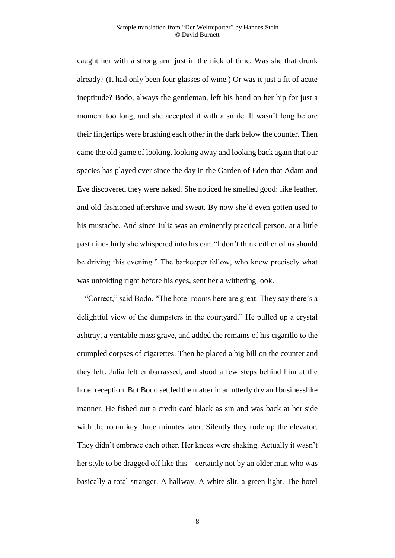caught her with a strong arm just in the nick of time. Was she that drunk already? (It had only been four glasses of wine.) Or was it just a fit of acute ineptitude? Bodo, always the gentleman, left his hand on her hip for just a moment too long, and she accepted it with a smile. It wasn't long before their fingertips were brushing each other in the dark below the counter. Then came the old game of looking, looking away and looking back again that our species has played ever since the day in the Garden of Eden that Adam and Eve discovered they were naked. She noticed he smelled good: like leather, and old-fashioned aftershave and sweat. By now she'd even gotten used to his mustache. And since Julia was an eminently practical person, at a little past nine-thirty she whispered into his ear: "I don't think either of us should be driving this evening." The barkeeper fellow, who knew precisely what was unfolding right before his eyes, sent her a withering look.

"Correct," said Bodo. "The hotel rooms here are great. They say there's a delightful view of the dumpsters in the courtyard." He pulled up a crystal ashtray, a veritable mass grave, and added the remains of his cigarillo to the crumpled corpses of cigarettes. Then he placed a big bill on the counter and they left. Julia felt embarrassed, and stood a few steps behind him at the hotel reception. But Bodo settled the matter in an utterly dry and businesslike manner. He fished out a credit card black as sin and was back at her side with the room key three minutes later. Silently they rode up the elevator. They didn't embrace each other. Her knees were shaking. Actually it wasn't her style to be dragged off like this—certainly not by an older man who was basically a total stranger. A hallway. A white slit, a green light. The hotel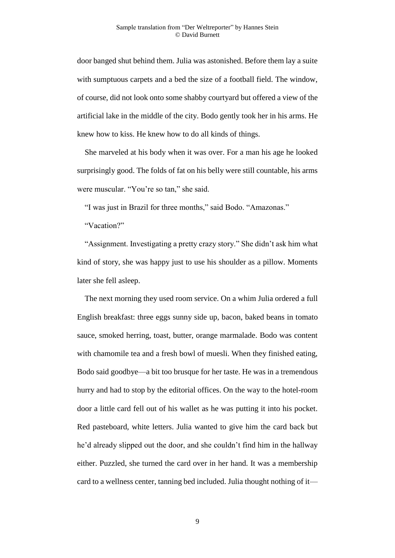door banged shut behind them. Julia was astonished. Before them lay a suite with sumptuous carpets and a bed the size of a football field. The window, of course, did not look onto some shabby courtyard but offered a view of the artificial lake in the middle of the city. Bodo gently took her in his arms. He knew how to kiss. He knew how to do all kinds of things.

She marveled at his body when it was over. For a man his age he looked surprisingly good. The folds of fat on his belly were still countable, his arms were muscular. "You're so tan," she said.

"I was just in Brazil for three months," said Bodo. "Amazonas."

"Vacation?"

"Assignment. Investigating a pretty crazy story." She didn't ask him what kind of story, she was happy just to use his shoulder as a pillow. Moments later she fell asleep.

The next morning they used room service. On a whim Julia ordered a full English breakfast: three eggs sunny side up, bacon, baked beans in tomato sauce, smoked herring, toast, butter, orange marmalade. Bodo was content with chamomile tea and a fresh bowl of muesli. When they finished eating, Bodo said goodbye—a bit too brusque for her taste. He was in a tremendous hurry and had to stop by the editorial offices. On the way to the hotel-room door a little card fell out of his wallet as he was putting it into his pocket. Red pasteboard, white letters. Julia wanted to give him the card back but he'd already slipped out the door, and she couldn't find him in the hallway either. Puzzled, she turned the card over in her hand. It was a membership card to a wellness center, tanning bed included. Julia thought nothing of it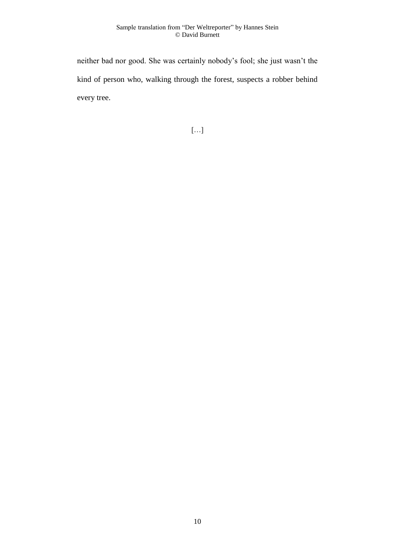neither bad nor good. She was certainly nobody's fool; she just wasn't the kind of person who, walking through the forest, suspects a robber behind every tree.

[…]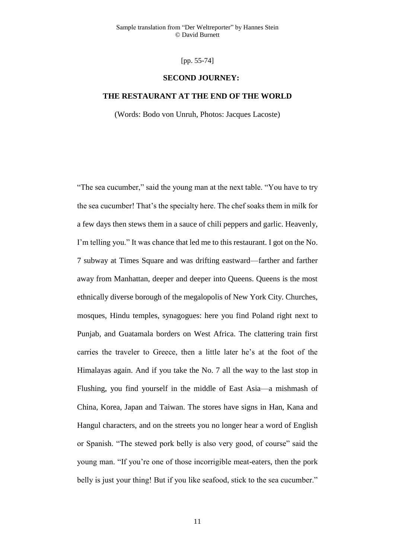[pp. 55-74]

## **SECOND JOURNEY:**

## **THE RESTAURANT AT THE END OF THE WORLD**

(Words: Bodo von Unruh, Photos: Jacques Lacoste)

"The sea cucumber," said the young man at the next table. "You have to try the sea cucumber! That's the specialty here. The chef soaks them in milk for a few days then stews them in a sauce of chili peppers and garlic. Heavenly, I'm telling you." It was chance that led me to this restaurant. I got on the No. 7 subway at Times Square and was drifting eastward—farther and farther away from Manhattan, deeper and deeper into Queens. Queens is the most ethnically diverse borough of the megalopolis of New York City. Churches, mosques, Hindu temples, synagogues: here you find Poland right next to Punjab, and Guatamala borders on West Africa. The clattering train first carries the traveler to Greece, then a little later he's at the foot of the Himalayas again. And if you take the No. 7 all the way to the last stop in Flushing, you find yourself in the middle of East Asia—a mishmash of China, Korea, Japan and Taiwan. The stores have signs in Han, Kana and Hangul characters, and on the streets you no longer hear a word of English or Spanish. "The stewed pork belly is also very good, of course" said the young man. "If you're one of those incorrigible meat-eaters, then the pork belly is just your thing! But if you like seafood, stick to the sea cucumber."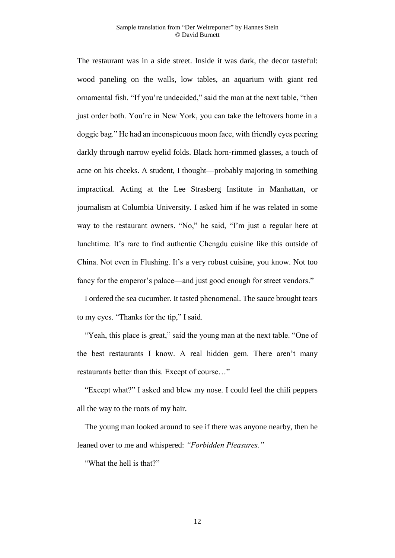### Sample translation from "Der Weltreporter" by Hannes Stein © David Burnett

The restaurant was in a side street. Inside it was dark, the decor tasteful: wood paneling on the walls, low tables, an aquarium with giant red ornamental fish. "If you're undecided," said the man at the next table, "then just order both. You're in New York, you can take the leftovers home in a doggie bag." He had an inconspicuous moon face, with friendly eyes peering darkly through narrow eyelid folds. Black horn-rimmed glasses, a touch of acne on his cheeks. A student, I thought—probably majoring in something impractical. Acting at the Lee Strasberg Institute in Manhattan, or journalism at Columbia University. I asked him if he was related in some way to the restaurant owners. "No," he said, "I'm just a regular here at lunchtime. It's rare to find authentic Chengdu cuisine like this outside of China. Not even in Flushing. It's a very robust cuisine, you know. Not too fancy for the emperor's palace—and just good enough for street vendors."

I ordered the sea cucumber. It tasted phenomenal. The sauce brought tears to my eyes. "Thanks for the tip," I said.

"Yeah, this place is great," said the young man at the next table. "One of the best restaurants I know. A real hidden gem. There aren't many restaurants better than this. Except of course…"

"Except what?" I asked and blew my nose. I could feel the chili peppers all the way to the roots of my hair.

The young man looked around to see if there was anyone nearby, then he leaned over to me and whispered: *"Forbidden Pleasures."*

"What the hell is that?"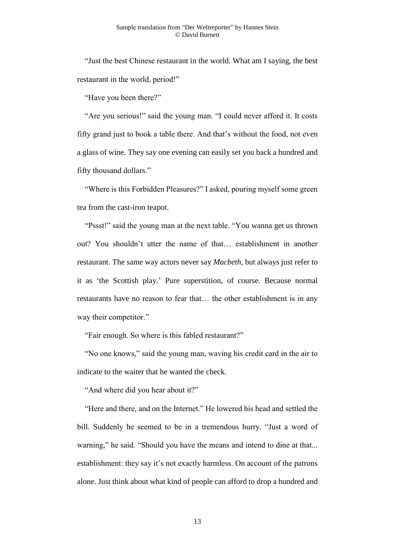"Just the best Chinese restaurant in the world. What am I saying, the best restaurant in the world, period!"

"Have you been there?"

"Are you serious!" said the young man. "I could never afford it. It costs fifty grand just to book a table there. And that's without the food, not even a glass of wine. They say one evening can easily set you back a hundred and fifty thousand dollars."

"Where is this Forbidden Pleasures?" I asked, pouring myself some green tea from the cast-iron teapot.

"Pssst!" said the young man at the next table. "You wanna get us thrown out? You shouldn't utter the name of that… establishment in another restaurant. The same way actors never say *Macbeth*, but always just refer to it as 'the Scottish play.' Pure superstition, of course. Because normal restaurants have no reason to fear that… the other establishment is in any way their competitor."

"Fair enough. So where is this fabled restaurant?"

"No one knows," said the young man, waving his credit card in the air to indicate to the waiter that he wanted the check.

"And where did you hear about it?"

"Here and there, and on the Internet." He lowered his head and settled the bill. Suddenly he seemed to be in a tremendous hurry. "Just a word of warning," he said. "Should you have the means and intend to dine at that... establishment: they say it's not exactly harmless. On account of the patrons alone. Just think about what kind of people can afford to drop a hundred and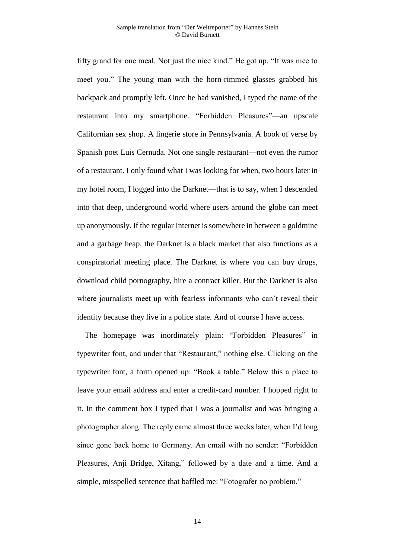fifty grand for one meal. Not just the nice kind." He got up. "It was nice to meet you." The young man with the horn-rimmed glasses grabbed his backpack and promptly left. Once he had vanished, I typed the name of the restaurant into my smartphone. "Forbidden Pleasures"—an upscale Californian sex shop. A lingerie store in Pennsylvania. A book of verse by Spanish poet Luis Cernuda. Not one single restaurant—not even the rumor of a restaurant. I only found what I was looking for when, two hours later in my hotel room, I logged into the Darknet—that is to say, when I descended into that deep, underground world where users around the globe can meet up anonymously. If the regular Internet is somewhere in between a goldmine and a garbage heap, the Darknet is a black market that also functions as a conspiratorial meeting place. The Darknet is where you can buy drugs, download child pornography, hire a contract killer. But the Darknet is also where journalists meet up with fearless informants who can't reveal their identity because they live in a police state. And of course I have access.

The homepage was inordinately plain: "Forbidden Pleasures" in typewriter font, and under that "Restaurant," nothing else. Clicking on the typewriter font, a form opened up: "Book a table." Below this a place to leave your email address and enter a credit-card number. I hopped right to it. In the comment box I typed that I was a journalist and was bringing a photographer along. The reply came almost three weeks later, when I'd long since gone back home to Germany. An email with no sender: "Forbidden Pleasures, Anji Bridge, Xitang," followed by a date and a time. And a simple, misspelled sentence that baffled me: "Fotografer no problem."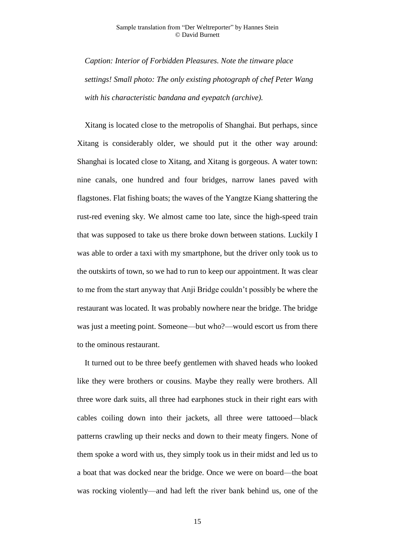### Sample translation from "Der Weltreporter" by Hannes Stein © David Burnett

*Caption: Interior of Forbidden Pleasures. Note the tinware place settings! Small photo: The only existing photograph of chef Peter Wang with his characteristic bandana and eyepatch (archive).*

Xitang is located close to the metropolis of Shanghai. But perhaps, since Xitang is considerably older, we should put it the other way around: Shanghai is located close to Xitang, and Xitang is gorgeous. A water town: nine canals, one hundred and four bridges, narrow lanes paved with flagstones. Flat fishing boats; the waves of the Yangtze Kiang shattering the rust-red evening sky. We almost came too late, since the high-speed train that was supposed to take us there broke down between stations. Luckily I was able to order a taxi with my smartphone, but the driver only took us to the outskirts of town, so we had to run to keep our appointment. It was clear to me from the start anyway that Anji Bridge couldn't possibly be where the restaurant was located. It was probably nowhere near the bridge. The bridge was just a meeting point. Someone—but who?—would escort us from there to the ominous restaurant.

It turned out to be three beefy gentlemen with shaved heads who looked like they were brothers or cousins. Maybe they really were brothers. All three wore dark suits, all three had earphones stuck in their right ears with cables coiling down into their jackets, all three were tattooed—black patterns crawling up their necks and down to their meaty fingers. None of them spoke a word with us, they simply took us in their midst and led us to a boat that was docked near the bridge. Once we were on board—the boat was rocking violently—and had left the river bank behind us, one of the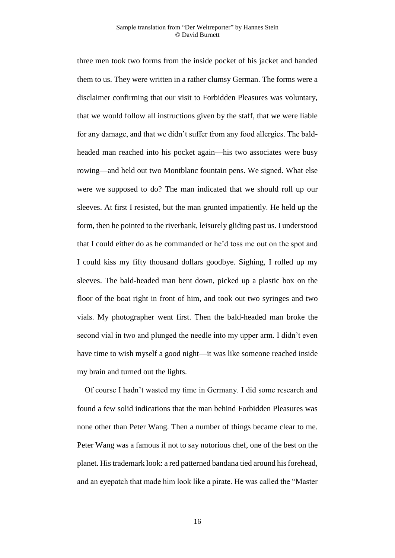three men took two forms from the inside pocket of his jacket and handed them to us. They were written in a rather clumsy German. The forms were a disclaimer confirming that our visit to Forbidden Pleasures was voluntary, that we would follow all instructions given by the staff, that we were liable for any damage, and that we didn't suffer from any food allergies. The baldheaded man reached into his pocket again—his two associates were busy rowing—and held out two Montblanc fountain pens. We signed. What else were we supposed to do? The man indicated that we should roll up our sleeves. At first I resisted, but the man grunted impatiently. He held up the form, then he pointed to the riverbank, leisurely gliding past us. I understood that I could either do as he commanded or he'd toss me out on the spot and I could kiss my fifty thousand dollars goodbye. Sighing, I rolled up my sleeves. The bald-headed man bent down, picked up a plastic box on the floor of the boat right in front of him, and took out two syringes and two vials. My photographer went first. Then the bald-headed man broke the second vial in two and plunged the needle into my upper arm. I didn't even have time to wish myself a good night—it was like someone reached inside my brain and turned out the lights.

Of course I hadn't wasted my time in Germany. I did some research and found a few solid indications that the man behind Forbidden Pleasures was none other than Peter Wang. Then a number of things became clear to me. Peter Wang was a famous if not to say notorious chef, one of the best on the planet. His trademark look: a red patterned bandana tied around his forehead, and an eyepatch that made him look like a pirate. He was called the "Master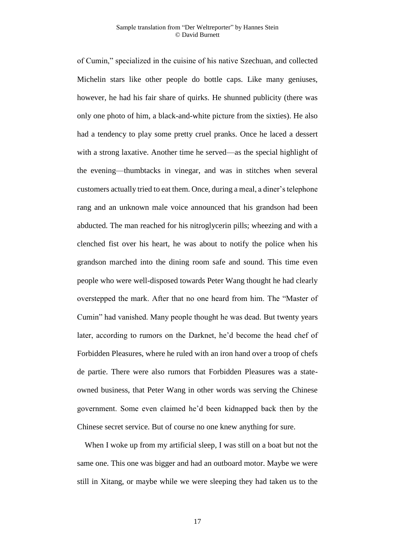of Cumin," specialized in the cuisine of his native Szechuan, and collected Michelin stars like other people do bottle caps. Like many geniuses, however, he had his fair share of quirks. He shunned publicity (there was only one photo of him, a black-and-white picture from the sixties). He also had a tendency to play some pretty cruel pranks. Once he laced a dessert with a strong laxative. Another time he served—as the special highlight of the evening—thumbtacks in vinegar, and was in stitches when several customers actually tried to eat them. Once, during a meal, a diner's telephone rang and an unknown male voice announced that his grandson had been abducted. The man reached for his nitroglycerin pills; wheezing and with a clenched fist over his heart, he was about to notify the police when his grandson marched into the dining room safe and sound. This time even people who were well-disposed towards Peter Wang thought he had clearly overstepped the mark. After that no one heard from him. The "Master of Cumin" had vanished. Many people thought he was dead. But twenty years later, according to rumors on the Darknet, he'd become the head chef of Forbidden Pleasures, where he ruled with an iron hand over a troop of chefs de partie. There were also rumors that Forbidden Pleasures was a stateowned business, that Peter Wang in other words was serving the Chinese government. Some even claimed he'd been kidnapped back then by the Chinese secret service. But of course no one knew anything for sure.

When I woke up from my artificial sleep, I was still on a boat but not the same one. This one was bigger and had an outboard motor. Maybe we were still in Xitang, or maybe while we were sleeping they had taken us to the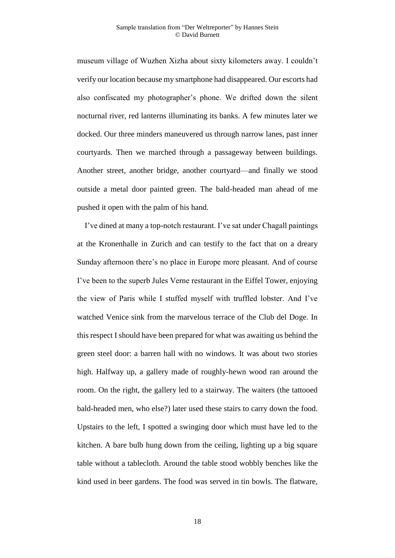museum village of Wuzhen Xizha about sixty kilometers away. I couldn't verify our location because my smartphone had disappeared. Our escorts had also confiscated my photographer's phone. We drifted down the silent nocturnal river, red lanterns illuminating its banks. A few minutes later we docked. Our three minders maneuvered us through narrow lanes, past inner courtyards. Then we marched through a passageway between buildings. Another street, another bridge, another courtyard—and finally we stood outside a metal door painted green. The bald-headed man ahead of me pushed it open with the palm of his hand.

I've dined at many a top-notch restaurant. I've sat under Chagall paintings at the Kronenhalle in Zurich and can testify to the fact that on a dreary Sunday afternoon there's no place in Europe more pleasant. And of course I've been to the superb Jules Verne restaurant in the Eiffel Tower, enjoying the view of Paris while I stuffed myself with truffled lobster. And I've watched Venice sink from the marvelous terrace of the Club del Doge. In this respect I should have been prepared for what was awaiting us behind the green steel door: a barren hall with no windows. It was about two stories high. Halfway up, a gallery made of roughly-hewn wood ran around the room. On the right, the gallery led to a stairway. The waiters (the tattooed bald-headed men, who else?) later used these stairs to carry down the food. Upstairs to the left, I spotted a swinging door which must have led to the kitchen. A bare bulb hung down from the ceiling, lighting up a big square table without a tablecloth. Around the table stood wobbly benches like the kind used in beer gardens. The food was served in tin bowls. The flatware,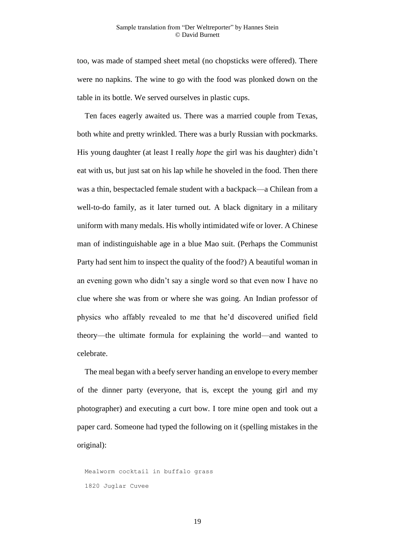too, was made of stamped sheet metal (no chopsticks were offered). There were no napkins. The wine to go with the food was plonked down on the table in its bottle. We served ourselves in plastic cups.

Ten faces eagerly awaited us. There was a married couple from Texas, both white and pretty wrinkled. There was a burly Russian with pockmarks. His young daughter (at least I really *hope* the girl was his daughter) didn't eat with us, but just sat on his lap while he shoveled in the food. Then there was a thin, bespectacled female student with a backpack—a Chilean from a well-to-do family, as it later turned out. A black dignitary in a military uniform with many medals. His wholly intimidated wife or lover. A Chinese man of indistinguishable age in a blue Mao suit. (Perhaps the Communist Party had sent him to inspect the quality of the food?) A beautiful woman in an evening gown who didn't say a single word so that even now I have no clue where she was from or where she was going. An Indian professor of physics who affably revealed to me that he'd discovered unified field theory—the ultimate formula for explaining the world—and wanted to celebrate.

The meal began with a beefy server handing an envelope to every member of the dinner party (everyone, that is, except the young girl and my photographer) and executing a curt bow. I tore mine open and took out a paper card. Someone had typed the following on it (spelling mistakes in the original):

Mealworm cocktail in buffalo grass 1820 Juglar Cuvee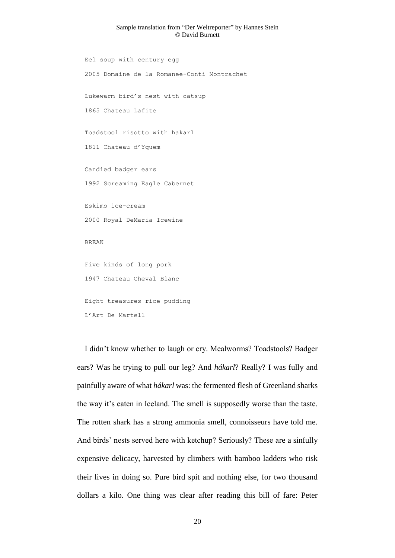#### Sample translation from "Der Weltreporter" by Hannes Stein © David Burnett

Eel soup with century egg 2005 Domaine de la Romanee-Conti Montrachet Lukewarm bird's nest with catsup 1865 Chateau Lafite Toadstool risotto with hakarl 1811 Chateau d'Yquem Candied badger ears 1992 Screaming Eagle Cabernet Eskimo ice-cream 2000 Royal DeMaria Icewine BREAK Five kinds of long pork 1947 Chateau Cheval Blanc Eight treasures rice pudding L'Art De Martell

I didn't know whether to laugh or cry. Mealworms? Toadstools? Badger ears? Was he trying to pull our leg? And *hákarl*? Really? I was fully and painfully aware of what *hákarl* was: the fermented flesh of Greenland sharks the way it's eaten in Iceland. The smell is supposedly worse than the taste. The rotten shark has a strong ammonia smell, connoisseurs have told me. And birds' nests served here with ketchup? Seriously? These are a sinfully expensive delicacy, harvested by climbers with bamboo ladders who risk their lives in doing so. Pure bird spit and nothing else, for two thousand dollars a kilo. One thing was clear after reading this bill of fare: Peter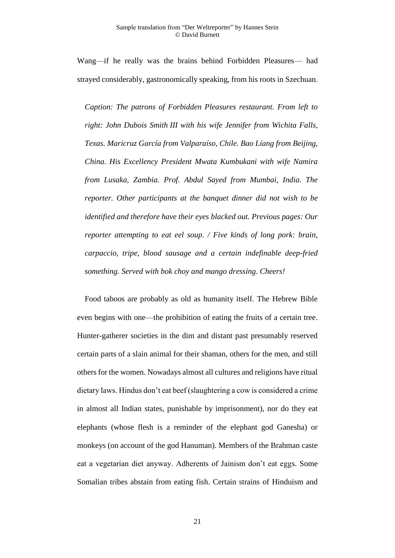Wang—if he really was the brains behind Forbidden Pleasures— had strayed considerably, gastronomically speaking, from his roots in Szechuan.

*Caption: The patrons of Forbidden Pleasures restaurant. From left to right: John Dubois Smith III with his wife Jennifer from Wichita Falls, Texas. Maricruz García from Valparaíso, Chile. Bao Líang from Beijing, China. His Excellency President Mwata Kumbukani with wife Namira from Lusaka, Zambia. Prof. Abdul Sayed from Mumbai, India. The reporter. Other participants at the banquet dinner did not wish to be identified and therefore have their eyes blacked out. Previous pages: Our reporter attempting to eat eel soup. / Five kinds of long pork: brain, carpaccio, tripe, blood sausage and a certain indefinable deep-fried something. Served with bok choy and mango dressing. Cheers!*

Food taboos are probably as old as humanity itself. The Hebrew Bible even begins with one—the prohibition of eating the fruits of a certain tree. Hunter-gatherer societies in the dim and distant past presumably reserved certain parts of a slain animal for their shaman, others for the men, and still others for the women. Nowadays almost all cultures and religions have ritual dietary laws. Hindus don't eat beef (slaughtering a cow is considered a crime in almost all Indian states, punishable by imprisonment), nor do they eat elephants (whose flesh is a reminder of the elephant god Ganesha) or monkeys (on account of the god Hanuman). Members of the Brahman caste eat a vegetarian diet anyway. Adherents of Jainism don't eat eggs. Some Somalian tribes abstain from eating fish. Certain strains of Hinduism and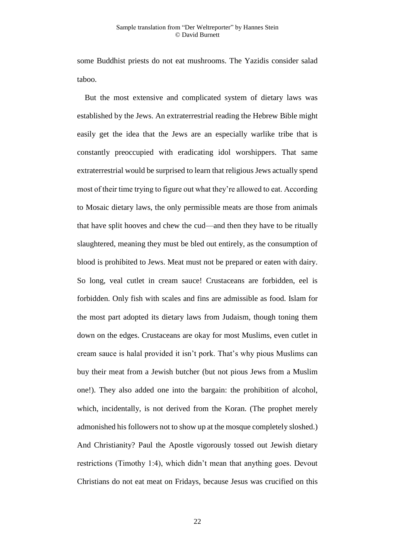some Buddhist priests do not eat mushrooms. The Yazidis consider salad taboo.

But the most extensive and complicated system of dietary laws was established by the Jews. An extraterrestrial reading the Hebrew Bible might easily get the idea that the Jews are an especially warlike tribe that is constantly preoccupied with eradicating idol worshippers. That same extraterrestrial would be surprised to learn that religious Jews actually spend most of their time trying to figure out what they're allowed to eat. According to Mosaic dietary laws, the only permissible meats are those from animals that have split hooves and chew the cud—and then they have to be ritually slaughtered, meaning they must be bled out entirely, as the consumption of blood is prohibited to Jews. Meat must not be prepared or eaten with dairy. So long, veal cutlet in cream sauce! Crustaceans are forbidden, eel is forbidden. Only fish with scales and fins are admissible as food. Islam for the most part adopted its dietary laws from Judaism, though toning them down on the edges. Crustaceans are okay for most Muslims, even cutlet in cream sauce is halal provided it isn't pork. That's why pious Muslims can buy their meat from a Jewish butcher (but not pious Jews from a Muslim one!). They also added one into the bargain: the prohibition of alcohol, which, incidentally, is not derived from the Koran. (The prophet merely admonished his followers not to show up at the mosque completely sloshed.) And Christianity? Paul the Apostle vigorously tossed out Jewish dietary restrictions (Timothy 1:4), which didn't mean that anything goes. Devout Christians do not eat meat on Fridays, because Jesus was crucified on this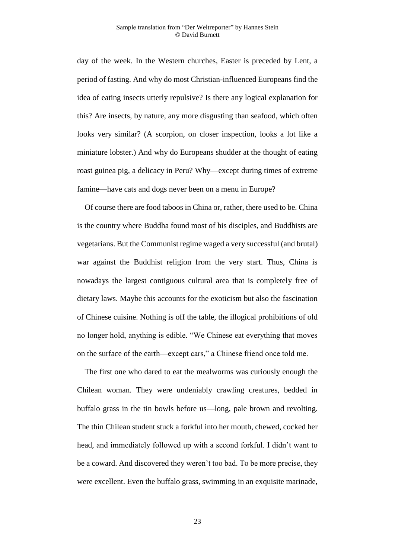day of the week. In the Western churches, Easter is preceded by Lent, a period of fasting. And why do most Christian-influenced Europeans find the idea of eating insects utterly repulsive? Is there any logical explanation for this? Are insects, by nature, any more disgusting than seafood, which often looks very similar? (A scorpion, on closer inspection, looks a lot like a miniature lobster.) And why do Europeans shudder at the thought of eating roast guinea pig, a delicacy in Peru? Why—except during times of extreme famine—have cats and dogs never been on a menu in Europe?

Of course there are food taboos in China or, rather, there used to be. China is the country where Buddha found most of his disciples, and Buddhists are vegetarians. But the Communist regime waged a very successful (and brutal) war against the Buddhist religion from the very start. Thus, China is nowadays the largest contiguous cultural area that is completely free of dietary laws. Maybe this accounts for the exoticism but also the fascination of Chinese cuisine. Nothing is off the table, the illogical prohibitions of old no longer hold, anything is edible. "We Chinese eat everything that moves on the surface of the earth—except cars," a Chinese friend once told me.

The first one who dared to eat the mealworms was curiously enough the Chilean woman. They were undeniably crawling creatures, bedded in buffalo grass in the tin bowls before us—long, pale brown and revolting. The thin Chilean student stuck a forkful into her mouth, chewed, cocked her head, and immediately followed up with a second forkful. I didn't want to be a coward. And discovered they weren't too bad. To be more precise, they were excellent. Even the buffalo grass, swimming in an exquisite marinade,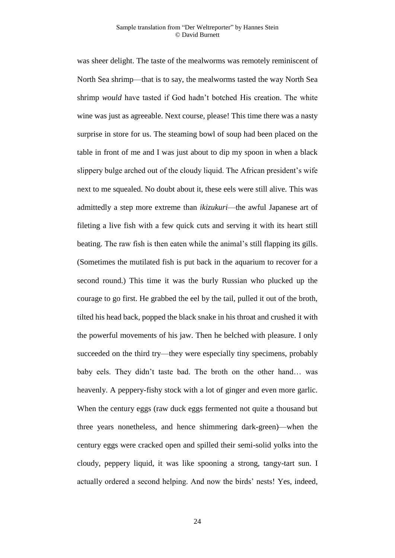was sheer delight. The taste of the mealworms was remotely reminiscent of North Sea shrimp—that is to say, the mealworms tasted the way North Sea shrimp *would* have tasted if God hadn't botched His creation. The white wine was just as agreeable. Next course, please! This time there was a nasty surprise in store for us. The steaming bowl of soup had been placed on the table in front of me and I was just about to dip my spoon in when a black slippery bulge arched out of the cloudy liquid. The African president's wife next to me squealed. No doubt about it, these eels were still alive. This was admittedly a step more extreme than *ikizukuri*—the awful Japanese art of fileting a live fish with a few quick cuts and serving it with its heart still beating. The raw fish is then eaten while the animal's still flapping its gills. (Sometimes the mutilated fish is put back in the aquarium to recover for a second round.) This time it was the burly Russian who plucked up the courage to go first. He grabbed the eel by the tail, pulled it out of the broth, tilted his head back, popped the black snake in his throat and crushed it with the powerful movements of his jaw. Then he belched with pleasure. I only succeeded on the third try—they were especially tiny specimens, probably baby eels. They didn't taste bad. The broth on the other hand… was heavenly. A peppery-fishy stock with a lot of ginger and even more garlic. When the century eggs (raw duck eggs fermented not quite a thousand but three years nonetheless, and hence shimmering dark-green)—when the century eggs were cracked open and spilled their semi-solid yolks into the cloudy, peppery liquid, it was like spooning a strong, tangy-tart sun. I actually ordered a second helping. And now the birds' nests! Yes, indeed,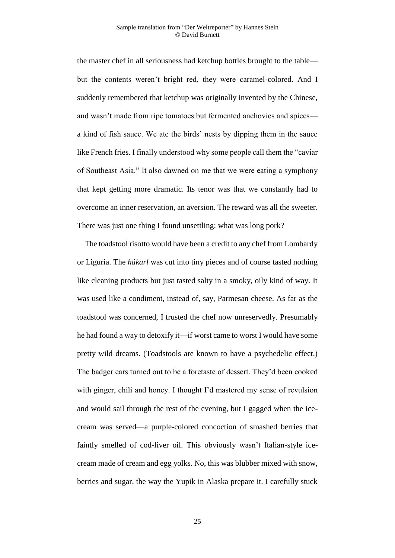the master chef in all seriousness had ketchup bottles brought to the table but the contents weren't bright red, they were caramel-colored. And I suddenly remembered that ketchup was originally invented by the Chinese, and wasn't made from ripe tomatoes but fermented anchovies and spices a kind of fish sauce. We ate the birds' nests by dipping them in the sauce like French fries. I finally understood why some people call them the "caviar of Southeast Asia." It also dawned on me that we were eating a symphony that kept getting more dramatic. Its tenor was that we constantly had to overcome an inner reservation, an aversion. The reward was all the sweeter. There was just one thing I found unsettling: what was long pork?

The toadstool risotto would have been a credit to any chef from Lombardy or Liguria. The *hákarl* was cut into tiny pieces and of course tasted nothing like cleaning products but just tasted salty in a smoky, oily kind of way. It was used like a condiment, instead of, say, Parmesan cheese. As far as the toadstool was concerned, I trusted the chef now unreservedly. Presumably he had found a way to detoxify it—if worst came to worst I would have some pretty wild dreams. (Toadstools are known to have a psychedelic effect.) The badger ears turned out to be a foretaste of dessert. They'd been cooked with ginger, chili and honey. I thought I'd mastered my sense of revulsion and would sail through the rest of the evening, but I gagged when the icecream was served—a purple-colored concoction of smashed berries that faintly smelled of cod-liver oil. This obviously wasn't Italian-style icecream made of cream and egg yolks. No, this was blubber mixed with snow, berries and sugar, the way the Yupik in Alaska prepare it. I carefully stuck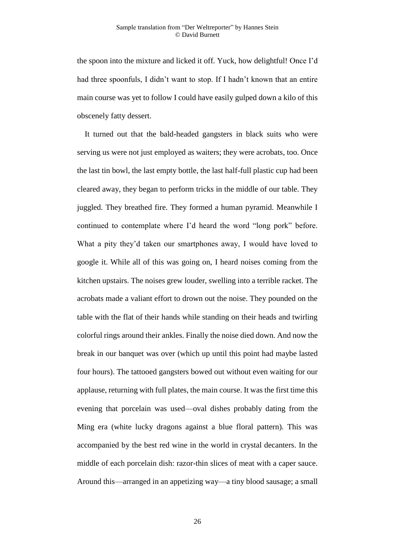the spoon into the mixture and licked it off. Yuck, how delightful! Once I'd had three spoonfuls, I didn't want to stop. If I hadn't known that an entire main course was yet to follow I could have easily gulped down a kilo of this obscenely fatty dessert.

It turned out that the bald-headed gangsters in black suits who were serving us were not just employed as waiters; they were acrobats, too. Once the last tin bowl, the last empty bottle, the last half-full plastic cup had been cleared away, they began to perform tricks in the middle of our table. They juggled. They breathed fire. They formed a human pyramid. Meanwhile I continued to contemplate where I'd heard the word "long pork" before. What a pity they'd taken our smartphones away, I would have loved to google it. While all of this was going on, I heard noises coming from the kitchen upstairs. The noises grew louder, swelling into a terrible racket. The acrobats made a valiant effort to drown out the noise. They pounded on the table with the flat of their hands while standing on their heads and twirling colorful rings around their ankles. Finally the noise died down. And now the break in our banquet was over (which up until this point had maybe lasted four hours). The tattooed gangsters bowed out without even waiting for our applause, returning with full plates, the main course. It was the first time this evening that porcelain was used—oval dishes probably dating from the Ming era (white lucky dragons against a blue floral pattern). This was accompanied by the best red wine in the world in crystal decanters. In the middle of each porcelain dish: razor-thin slices of meat with a caper sauce. Around this—arranged in an appetizing way—a tiny blood sausage; a small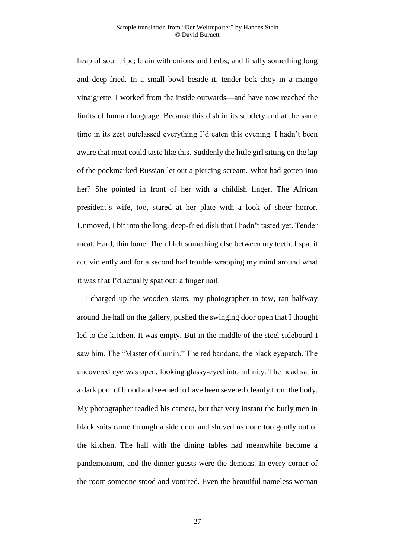heap of sour tripe; brain with onions and herbs; and finally something long and deep-fried. In a small bowl beside it, tender bok choy in a mango vinaigrette. I worked from the inside outwards—and have now reached the limits of human language. Because this dish in its subtlety and at the same time in its zest outclassed everything I'd eaten this evening. I hadn't been aware that meat could taste like this. Suddenly the little girl sitting on the lap of the pockmarked Russian let out a piercing scream. What had gotten into her? She pointed in front of her with a childish finger. The African president's wife, too, stared at her plate with a look of sheer horror. Unmoved, I bit into the long, deep-fried dish that I hadn't tasted yet. Tender meat. Hard, thin bone. Then I felt something else between my teeth. I spat it out violently and for a second had trouble wrapping my mind around what it was that I'd actually spat out: a finger nail.

I charged up the wooden stairs, my photographer in tow, ran halfway around the hall on the gallery, pushed the swinging door open that I thought led to the kitchen. It was empty. But in the middle of the steel sideboard I saw him. The "Master of Cumin." The red bandana, the black eyepatch. The uncovered eye was open, looking glassy-eyed into infinity. The head sat in a dark pool of blood and seemed to have been severed cleanly from the body. My photographer readied his camera, but that very instant the burly men in black suits came through a side door and shoved us none too gently out of the kitchen. The hall with the dining tables had meanwhile become a pandemonium, and the dinner guests were the demons. In every corner of the room someone stood and vomited. Even the beautiful nameless woman